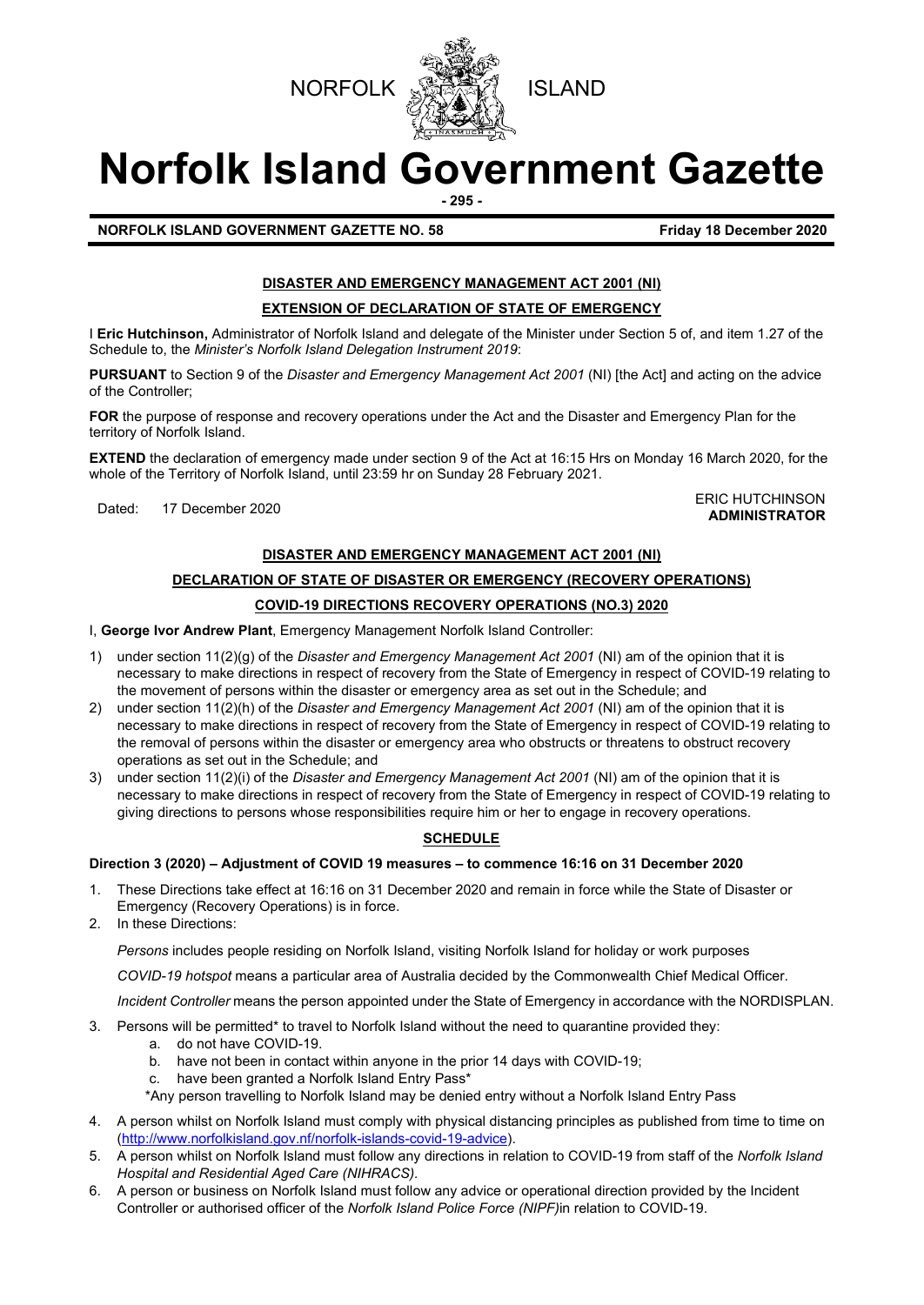



# **Norfolk Island Government Gazette**

**- 295 -**

# **NORFOLK ISLAND GOVERNMENT GAZETTE NO. 58 FIGULARY 18 December 2020**

# **DISASTER AND EMERGENCY MANAGEMENT ACT 2001 (NI)**

# **EXTENSION OF DECLARATION OF STATE OF EMERGENCY**

I **Eric Hutchinson,** Administrator of Norfolk Island and delegate of the Minister under Section 5 of, and item 1.27 of the Schedule to, the *Minister's Norfolk Island Delegation Instrument 2019*:

**PURSUANT** to Section 9 of the *Disaster and Emergency Management Act 2001* (NI) [the Act] and acting on the advice of the Controller;

**FOR** the purpose of response and recovery operations under the Act and the Disaster and Emergency Plan for the territory of Norfolk Island.

**EXTEND** the declaration of emergency made under section 9 of the Act at 16:15 Hrs on Monday 16 March 2020, for the whole of the Territory of Norfolk Island, until 23:59 hr on Sunday 28 February 2021.

Dated: 17 December 2020<br>Dated: 17 December 2020

**ADMINISTRATOR**

# **DISASTER AND EMERGENCY MANAGEMENT ACT 2001 (NI)**

# **DECLARATION OF STATE OF DISASTER OR EMERGENCY (RECOVERY OPERATIONS) COVID-19 DIRECTIONS RECOVERY OPERATIONS (NO.3) 2020**

I, **George Ivor Andrew Plant**, Emergency Management Norfolk Island Controller:

- 1) under section 11(2)(g) of the *Disaster and Emergency Management Act 2001* (NI) am of the opinion that it is necessary to make directions in respect of recovery from the State of Emergency in respect of COVID-19 relating to the movement of persons within the disaster or emergency area as set out in the Schedule; and
- 2) under section 11(2)(h) of the *Disaster and Emergency Management Act 2001* (NI) am of the opinion that it is necessary to make directions in respect of recovery from the State of Emergency in respect of COVID-19 relating to the removal of persons within the disaster or emergency area who obstructs or threatens to obstruct recovery operations as set out in the Schedule; and
- 3) under section 11(2)(i) of the *Disaster and Emergency Management Act 2001* (NI) am of the opinion that it is necessary to make directions in respect of recovery from the State of Emergency in respect of COVID-19 relating to giving directions to persons whose responsibilities require him or her to engage in recovery operations.

# **SCHEDULE**

# **Direction 3 (2020) – Adjustment of COVID 19 measures – to commence 16:16 on 31 December 2020**

- 1. These Directions take effect at 16:16 on 31 December 2020 and remain in force while the State of Disaster or Emergency (Recovery Operations) is in force.
- 2. In these Directions:

*Persons* includes people residing on Norfolk Island, visiting Norfolk Island for holiday or work purposes

*COVID-19 hotspot* means a particular area of Australia decided by the Commonwealth Chief Medical Officer.

*Incident Controller* means the person appointed under the State of Emergency in accordance with the NORDISPLAN.

- 3. Persons will be permitted\* to travel to Norfolk Island without the need to quarantine provided they:
	- a. do not have COVID-19.
	- b. have not been in contact within anyone in the prior 14 days with COVID-19;
	- c. have been granted a Norfolk Island Entry Pass\*

\*Any person travelling to Norfolk Island may be denied entry without a Norfolk Island Entry Pass

- 4. A person whilst on Norfolk Island must comply with physical distancing principles as published from time to time on [\(http://www.norfolkisland.gov.nf/norfolk-islands-covid-19-advice\)](http://www.norfolkisland.gov.nf/norfolk-islands-covid-19-advice).
- 5. A person whilst on Norfolk Island must follow any directions in relation to COVID-19 from staff of the *Norfolk Island Hospital and Residential Aged Care (NIHRACS).*
- 6. A person or business on Norfolk Island must follow any advice or operational direction provided by the Incident Controller or authorised officer of the *Norfolk Island Police Force (NIPF)*in relation to COVID-19.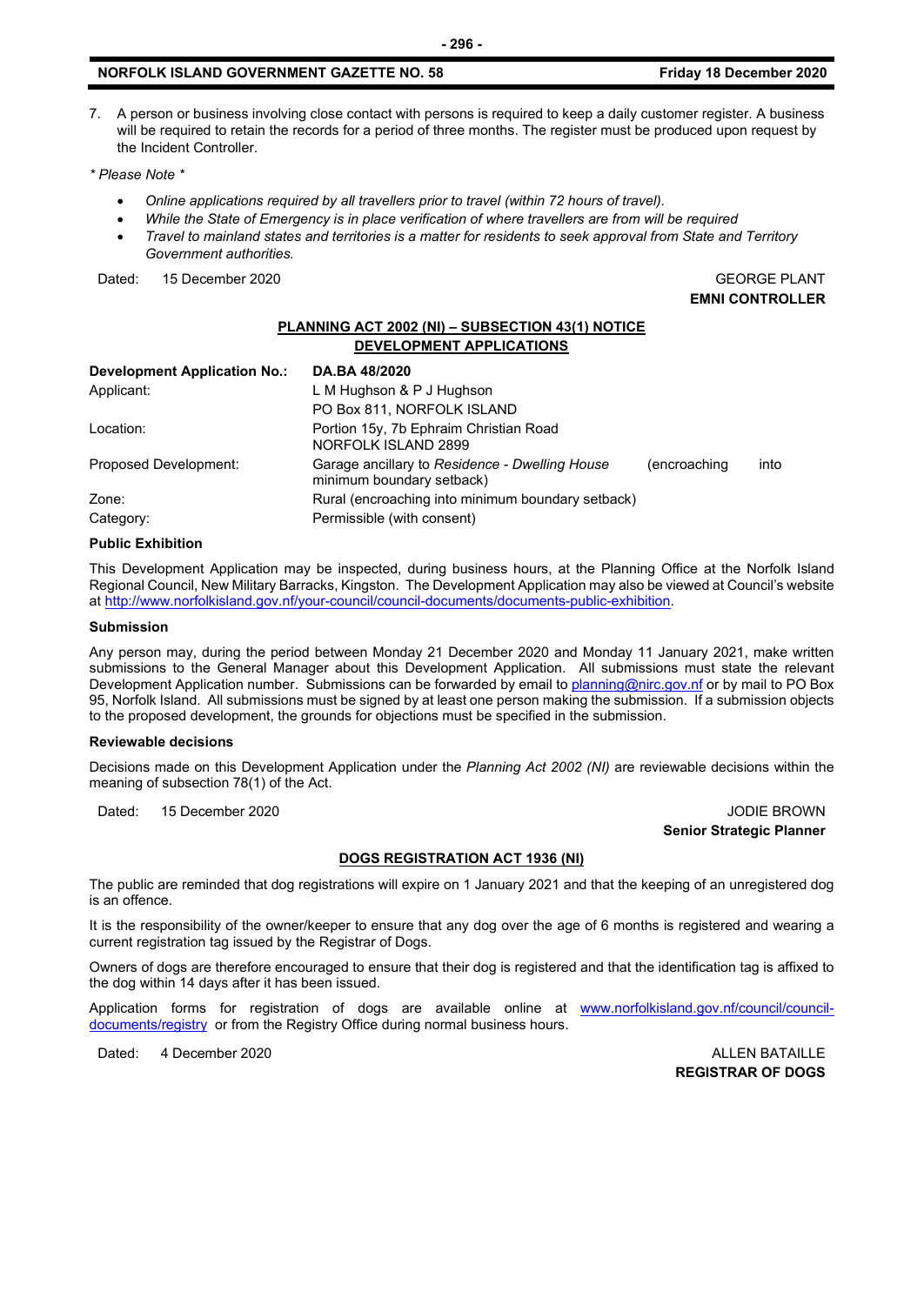# **NORFOLK ISLAND GOVERNMENT GAZETTE NO. 58 Friday 18 December 2020**

7. A person or business involving close contact with persons is required to keep a daily customer register. A business will be required to retain the records for a period of three months. The register must be produced upon request by the Incident Controller.

*\* Please Note \** 

- *Online applications required by all travellers prior to travel (within 72 hours of travel).*
- *While the State of Emergency is in place verification of where travellers are from will be required*
- *Travel to mainland states and territories is a matter for residents to seek approval from State and Territory Government authorities.*

Dated: 15 December 2020 GEORGE PLANT

**EMNI CONTROLLER**

### **PLANNING ACT 2002 (NI) – SUBSECTION 43(1) NOTICE DEVELOPMENT APPLICATIONS**

| <b>Development Application No.:</b> | DA.BA 48/2020                                                               |              |      |
|-------------------------------------|-----------------------------------------------------------------------------|--------------|------|
| Applicant:                          | L M Hughson & P J Hughson                                                   |              |      |
|                                     | PO Box 811, NORFOLK ISLAND                                                  |              |      |
| Location:                           | Portion 15y, 7b Ephraim Christian Road<br>NORFOLK ISLAND 2899               |              |      |
| Proposed Development:               | Garage ancillary to Residence - Dwelling House<br>minimum boundary setback) | (encroaching | into |
| Zone:                               | Rural (encroaching into minimum boundary setback)                           |              |      |
| Category:                           | Permissible (with consent)                                                  |              |      |

### **Public Exhibition**

This Development Application may be inspected, during business hours, at the Planning Office at the Norfolk Island Regional Council, New Military Barracks, Kingston. The Development Application may also be viewed at Council's website a[t http://www.norfolkisland.gov.nf/your-council/council-documents/documents-public-exhibition.](http://www.norfolkisland.gov.nf/your-council/council-documents/documents-public-exhibition)

### **Submission**

Any person may, during the period between Monday 21 December 2020 and Monday 11 January 2021, make written submissions to the General Manager about this Development Application. All submissions must state the relevant Development Application number. Submissions can be forwarded by email t[o planning@nirc.gov.nf](mailto:planning@nirc.gov.nf) or by mail to PO Box 95, Norfolk Island. All submissions must be signed by at least one person making the submission. If a submission objects to the proposed development, the grounds for objections must be specified in the submission.

### **Reviewable decisions**

Decisions made on this Development Application under the *Planning Act 2002 (NI)* are reviewable decisions within the meaning of subsection 78(1) of the Act.

Dated: 15 December 2020 JODIE BROWN

**Senior Strategic Planner** 

# **DOGS REGISTRATION ACT 1936 (NI)**

The public are reminded that dog registrations will expire on 1 January 2021 and that the keeping of an unregistered dog is an offence.

It is the responsibility of the owner/keeper to ensure that any dog over the age of 6 months is registered and wearing a current registration tag issued by the Registrar of Dogs.

Owners of dogs are therefore encouraged to ensure that their dog is registered and that the identification tag is affixed to the dog within 14 days after it has been issued.

Application forms for registration of dogs are available online at [www.norfolkisland.gov.nf/council/council](http://www.norfolkisland.gov.nf/council/council-documents/registry)[documents/registry](http://www.norfolkisland.gov.nf/council/council-documents/registry) or from the Registry Office during normal business hours.

Dated: 4 December 2020 ALLEN BATAILLE

**REGISTRAR OF DOGS**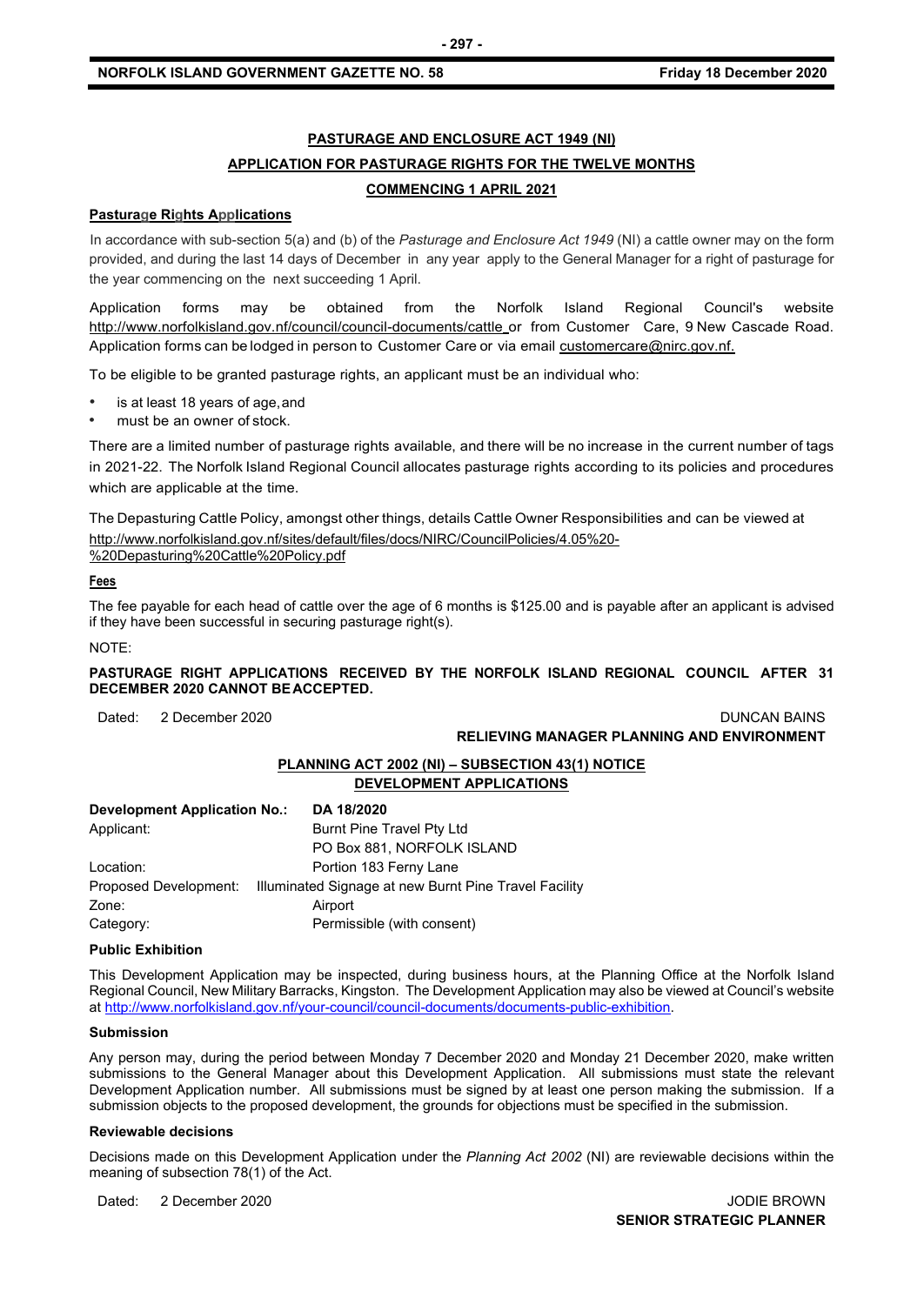# **PASTURAGE AND ENCLOSURE ACT 1949 (NI) APPLICATION FOR PASTURAGE RIGHTS FOR THE TWELVE MONTHS COMMENCING 1 APRIL 2021**

### **Pasturage Rights Applications**

In accordance with sub-section 5(a) and (b) of the *Pasturage and Enclosure Act 1949* (NI) a cattle owner may on the form provided, and during the last 14 days of December in any year apply to the General Manager for a right of pasturage for the year commencing on the next succeeding 1 April.

Application forms may be obtained from the Norfolk Island Regional Council's website <http://www.norfolkisland.gov.nf/council/council-documents/cattle> or from Customer Care, 9 New Cascade Road. Application forms can be lodged in person to Customer Care or via email [customercare@nirc.gov.nf.](mailto:customercare@nirc.gov.nf.)

To be eligible to be granted pasturage rights, an applicant must be an individual who:

- is at least 18 years of age, and
- must be an owner of stock.

There are a limited number of pasturage rights available, and there will be no increase in the current number of tags in 2021-22. The Norfolk Island Regional Council allocates pasturage rights according to its policies and procedures which are applicable at the time.

The Depasturing Cattle Policy, amongst other things, details Cattle Owner Responsibilities and can be viewed at [http://www.norfolkisland.gov.nf/sites/default/files/docs/NIRC/CouncilPolicies/4.05%20-](http://www.norfolkisland.gov.nf/sites/default/files/docs/NIRC/CouncilPolicies/4.05%20-%20Depasturing%20Cattle%20Policy.pdf) [%20Depasturing%20Cattle%20Policy.pdf](http://www.norfolkisland.gov.nf/sites/default/files/docs/NIRC/CouncilPolicies/4.05%20-%20Depasturing%20Cattle%20Policy.pdf)

### **Fees**

The fee payable for each head of cattle over the age of 6 months is \$125.00 and is payable after an applicant is advised if they have been successful in securing pasturage right(s).

### NOTE:

**PASTURAGE RIGHT APPLICATIONS RECEIVED BY THE NORFOLK ISLAND REGIONAL COUNCIL AFTER 31 DECEMBER 2020 CANNOT BEACCEPTED.**

Dated: 2 December 2020 **DUNCAN BAINS** 

**RELIEVING MANAGER PLANNING AND ENVIRONMENT**

# **PLANNING ACT 2002 (NI) – SUBSECTION 43(1) NOTICE DEVELOPMENT APPLICATIONS**

| <b>Development Application No.:</b> | DA 18/2020                                            |
|-------------------------------------|-------------------------------------------------------|
| Applicant:                          | Burnt Pine Travel Pty Ltd                             |
|                                     | PO Box 881, NORFOLK ISLAND                            |
| Location:                           | Portion 183 Ferny Lane                                |
| Proposed Development:               | Illuminated Signage at new Burnt Pine Travel Facility |
| Zone:                               | Airport                                               |
| Category:                           | Permissible (with consent)                            |

### **Public Exhibition**

This Development Application may be inspected, during business hours, at the Planning Office at the Norfolk Island Regional Council, New Military Barracks, Kingston. The Development Application may also be viewed at Council's website a[t http://www.norfolkisland.gov.nf/your-council/council-documents/documents-public-exhibition.](http://www.norfolkisland.gov.nf/your-council/council-documents/documents-public-exhibition)

### **Submission**

Any person may, during the period between Monday 7 December 2020 and Monday 21 December 2020, make written submissions to the General Manager about this Development Application. All submissions must state the relevant Development Application number. All submissions must be signed by at least one person making the submission. If a submission objects to the proposed development, the grounds for objections must be specified in the submission.

### **Reviewable decisions**

Decisions made on this Development Application under the *Planning Act 2002* (NI) are reviewable decisions within the meaning of subsection 78(1) of the Act.